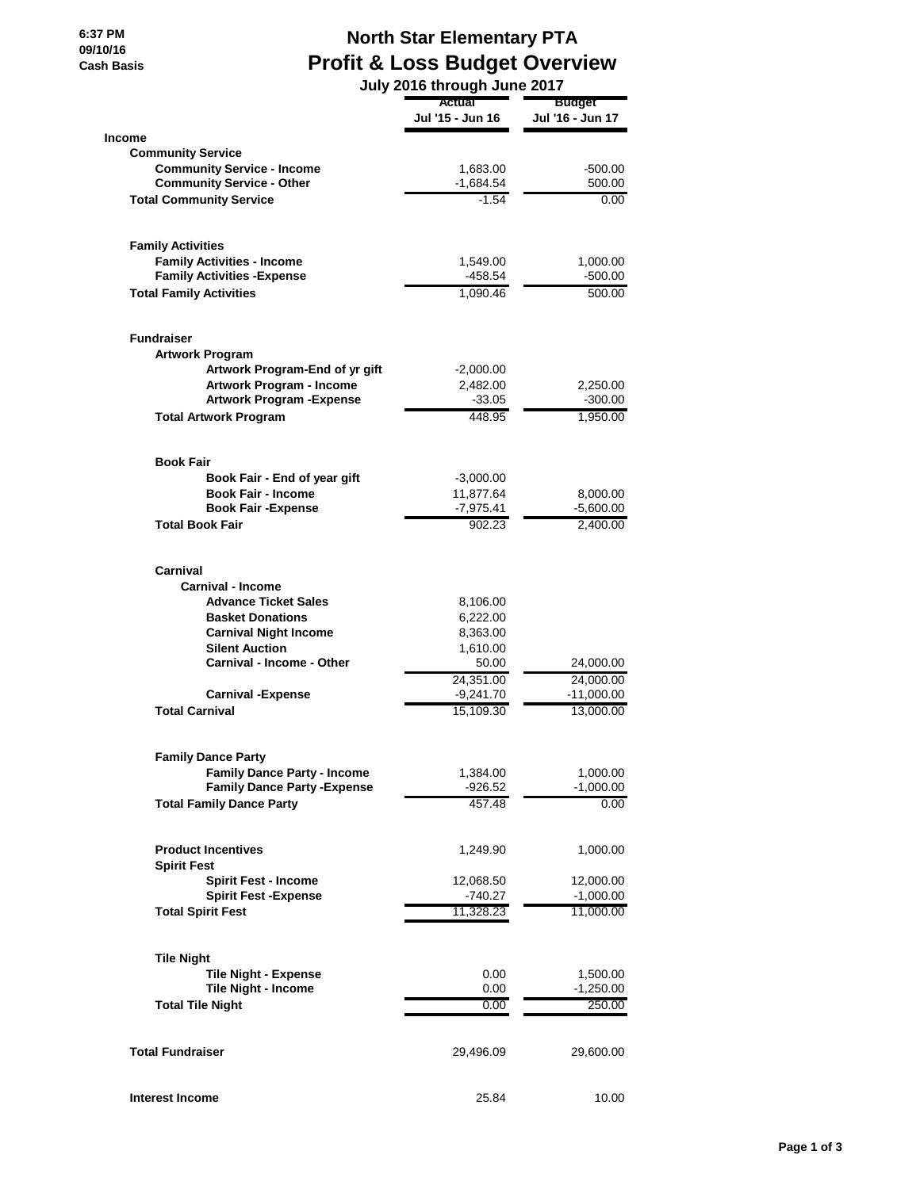**6:37 PM 09/10/16 Cash B** 

## **North Star Elementary PTA**

| V/IO<br>h Basis | <b>Profit &amp; Loss Budget Overview</b>              |                             |                                   |  |
|-----------------|-------------------------------------------------------|-----------------------------|-----------------------------------|--|
|                 |                                                       | July 2016 through June 2017 |                                   |  |
|                 |                                                       | Actual<br>Jul '15 - Jun 16  | <b>Budget</b><br>Jul '16 - Jun 17 |  |
| <b>Income</b>   |                                                       |                             |                                   |  |
|                 | <b>Community Service</b>                              |                             |                                   |  |
|                 | <b>Community Service - Income</b>                     | 1,683.00                    | $-500.00$                         |  |
|                 | <b>Community Service - Other</b>                      | -1,684.54                   | 500.00                            |  |
|                 | <b>Total Community Service</b>                        | $-1.54$                     | 0.00                              |  |
|                 | <b>Family Activities</b>                              |                             |                                   |  |
|                 | <b>Family Activities - Income</b>                     | 1,549.00                    | 1,000.00                          |  |
|                 | <b>Family Activities - Expense</b>                    | -458.54                     | $-500.00$                         |  |
|                 | <b>Total Family Activities</b>                        | 1,090.46                    | 500.00                            |  |
|                 | <b>Fundraiser</b>                                     |                             |                                   |  |
|                 | <b>Artwork Program</b>                                |                             |                                   |  |
|                 | Artwork Program-End of yr gift                        | -2,000.00                   |                                   |  |
|                 | <b>Artwork Program - Income</b>                       | 2,482.00                    | 2,250.00                          |  |
|                 | <b>Artwork Program - Expense</b>                      | $-33.05$                    | $-300.00$                         |  |
|                 | <b>Total Artwork Program</b>                          | 448.95                      | 1,950.00                          |  |
|                 | <b>Book Fair</b>                                      |                             |                                   |  |
|                 | Book Fair - End of year gift                          | $-3,000.00$                 |                                   |  |
|                 | <b>Book Fair - Income</b>                             | 11,877.64                   | 8,000.00                          |  |
|                 | <b>Book Fair -Expense</b>                             | $-7,975.41$                 | $-5,600.00$                       |  |
|                 | <b>Total Book Fair</b>                                | 902.23                      | 2,400.00                          |  |
|                 | Carnival                                              |                             |                                   |  |
|                 | <b>Carnival - Income</b>                              |                             |                                   |  |
|                 | <b>Advance Ticket Sales</b>                           | 8,106.00                    |                                   |  |
|                 | <b>Basket Donations</b>                               | 6,222.00                    |                                   |  |
|                 | <b>Carnival Night Income</b><br><b>Silent Auction</b> | 8,363.00<br>1,610.00        |                                   |  |
|                 | Carnival - Income - Other                             | 50.00                       | 24,000.00                         |  |
|                 |                                                       | 24,351.00                   | 24,000.00                         |  |
|                 | <b>Carnival -Expense</b>                              | $-9,241.70$                 | $-11,000.00$                      |  |
|                 | <b>Total Carnival</b>                                 | 15,109.30                   | 13,000.00                         |  |
|                 | <b>Family Dance Party</b>                             |                             |                                   |  |
|                 | <b>Family Dance Party - Income</b>                    | 1,384.00                    | 1,000.00                          |  |
|                 | <b>Family Dance Party - Expense</b>                   | $-926.52$                   | $-1,000.00$                       |  |
|                 | <b>Total Family Dance Party</b>                       | 457.48                      | 0.00                              |  |
|                 | <b>Product Incentives</b>                             | 1,249.90                    | 1,000.00                          |  |
|                 | <b>Spirit Fest</b>                                    |                             |                                   |  |
|                 | <b>Spirit Fest - Income</b>                           | 12,068.50                   | 12,000.00                         |  |
|                 | <b>Spirit Fest - Expense</b>                          | $-740.27$                   | $-1,000.00$                       |  |
|                 | <b>Total Spirit Fest</b>                              | 11,328.23                   | 11,000.00                         |  |
|                 | <b>Tile Night</b>                                     |                             |                                   |  |
|                 | <b>Tile Night - Expense</b>                           | 0.00                        | 1,500.00                          |  |
|                 | Tile Night - Income                                   | 0.00                        | $-1,250.00$                       |  |
|                 | <b>Total Tile Night</b>                               | 0.00                        | 250.00                            |  |

**Total Fundraiser** 29,496.09 29,600.00

**Interest Income** 25.84 10.00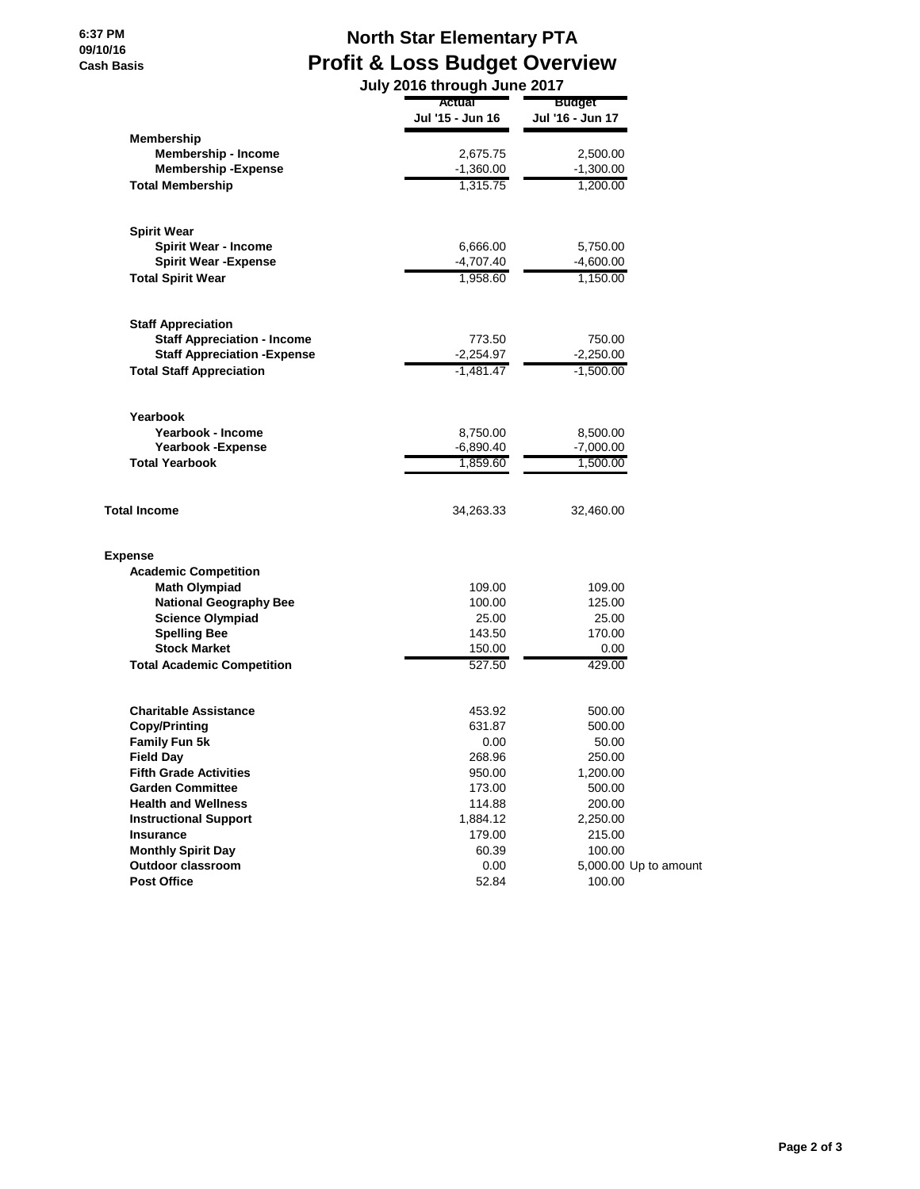## **North Star Elementary PTA Profit & Loss Budget Overview**

|                                     |                  | July 2016 through June 2017 |  |  |
|-------------------------------------|------------------|-----------------------------|--|--|
|                                     | Actual           | Budget                      |  |  |
|                                     | Jul '15 - Jun 16 | Jul '16 - Jun 17            |  |  |
| Membership                          |                  |                             |  |  |
| <b>Membership - Income</b>          | 2,675.75         | 2,500.00                    |  |  |
| <b>Membership - Expense</b>         | $-1,360.00$      | $-1,300.00$                 |  |  |
| <b>Total Membership</b>             | 1,315.75         | 1,200.00                    |  |  |
|                                     |                  |                             |  |  |
| <b>Spirit Wear</b>                  |                  |                             |  |  |
| <b>Spirit Wear - Income</b>         | 6,666.00         | 5,750.00                    |  |  |
| <b>Spirit Wear - Expense</b>        | -4,707.40        | $-4,600.00$                 |  |  |
| <b>Total Spirit Wear</b>            | 1,958.60         | 1,150.00                    |  |  |
| <b>Staff Appreciation</b>           |                  |                             |  |  |
| <b>Staff Appreciation - Income</b>  | 773.50           | 750.00                      |  |  |
| <b>Staff Appreciation - Expense</b> | $-2,254.97$      | $-2,250.00$                 |  |  |
| <b>Total Staff Appreciation</b>     | $-1,481.47$      | $-1,500.00$                 |  |  |
|                                     |                  |                             |  |  |
| Yearbook                            |                  |                             |  |  |
| Yearbook - Income                   | 8,750.00         | 8,500.00                    |  |  |
| <b>Yearbook -Expense</b>            | $-6,890.40$      | $-7,000.00$                 |  |  |
| <b>Total Yearbook</b>               | 1,859.60         | 1.500.00                    |  |  |
| <b>Total Income</b>                 | 34,263.33        | 32,460.00                   |  |  |
| <b>Expense</b>                      |                  |                             |  |  |
| <b>Academic Competition</b>         |                  |                             |  |  |
| <b>Math Olympiad</b>                | 109.00           | 109.00                      |  |  |
| <b>National Geography Bee</b>       | 100.00           | 125.00                      |  |  |
| <b>Science Olympiad</b>             | 25.00            | 25.00                       |  |  |
| <b>Spelling Bee</b>                 | 143.50           | 170.00                      |  |  |
| <b>Stock Market</b>                 | 150.00           | 0.00                        |  |  |
| <b>Total Academic Competition</b>   | 527.50           | 429.00                      |  |  |
|                                     |                  |                             |  |  |
| <b>Charitable Assistance</b>        | 453.92           | 500.00                      |  |  |
| <b>Copy/Printing</b>                | 631.87           | 500.00                      |  |  |
| <b>Family Fun 5k</b>                | 0.00             | 50.00                       |  |  |
| <b>Field Day</b>                    | 268.96           | 250.00                      |  |  |
| <b>Fifth Grade Activities</b>       | 950.00           | 1,200.00                    |  |  |
| <b>Garden Committee</b>             | 173.00           | 500.00                      |  |  |
| <b>Health and Wellness</b>          | 114.88           | 200.00                      |  |  |
| <b>Instructional Support</b>        | 1,884.12         | 2,250.00                    |  |  |
| Insurance                           | 179.00           | 215.00                      |  |  |
| <b>Monthly Spirit Day</b>           | 60.39            | 100.00                      |  |  |
| <b>Outdoor classroom</b>            | 0.00             | 5,000.00 Up to amount       |  |  |
| <b>Post Office</b>                  | 52.84            | 100.00                      |  |  |